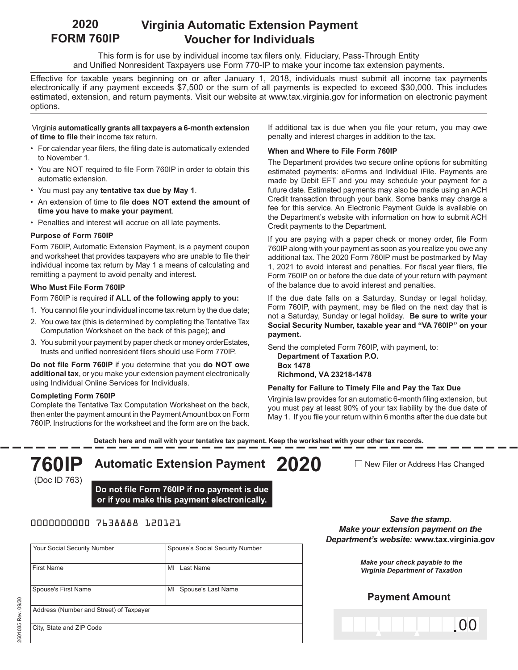#### **Virginia Automatic Extension Payment Voucher for Individuals 2020 FORM 760IP**

This form is for use by individual income tax filers only. Fiduciary, Pass-Through Entity and Unified Nonresident Taxpayers use Form 770-IP to make your income tax extension payments.

Effective for taxable years beginning on or after January 1, 2018, individuals must submit all income tax payments electronically if any payment exceeds \$7,500 or the sum of all payments is expected to exceed \$30,000. This includes estimated, extension, and return payments. Visit our website at www.tax.virginia.gov for information on electronic payment options.

#### Virginia **automatically grants all taxpayers a 6-month extension of time to file** their income tax return.

- For calendar year filers, the filing date is automatically extended to November 1.
- You are NOT required to file Form 760IP in order to obtain this automatic extension.
- You must pay any **tentative tax due by May 1**.
- An extension of time to file **does NOT extend the amount of time you have to make your payment**.
- Penalties and interest will accrue on all late payments.

## **Purpose of Form 760IP**

Form 760IP, Automatic Extension Payment, is a payment coupon and worksheet that provides taxpayers who are unable to file their individual income tax return by May 1 a means of calculating and remitting a payment to avoid penalty and interest.

## **Who Must File Form 760IP**

Form 760IP is required if **ALL of the following apply to you:**

- 1. You cannot file your individual income tax return by the due date;
- 2. You owe tax (this is determined by completing the Tentative Tax Computation Worksheet on the back of this page); **and**
- 3. You submit your payment by paper check or money orderEstates, trusts and unified nonresident filers should use Form 770IP.

**Do not file Form 760IP** if you determine that you **do NOT owe additional tax**, or you make your extension payment electronically using Individual Online Services for Individuals.

## **Completing Form 760IP**

Complete the Tentative Tax Computation Worksheet on the back, then enter the payment amount in the Payment Amount box on Form 760IP. Instructions for the worksheet and the form are on the back.

If additional tax is due when you file your return, you may owe penalty and interest charges in addition to the tax.

#### **When and Where to File Form 760IP**

The Department provides two secure online options for submitting estimated payments: eForms and Individual iFile. Payments are made by Debit EFT and you may schedule your payment for a future date. Estimated payments may also be made using an ACH Credit transaction through your bank. Some banks may charge a fee for this service. An Electronic Payment Guide is available on the Department's website with information on how to submit ACH Credit payments to the Department.

If you are paying with a paper check or money order, file Form 760IP along with your payment as soon as you realize you owe any additional tax. The 2020 Form 760IP must be postmarked by May 1, 2021 to avoid interest and penalties. For fiscal year filers, file Form 760IP on or before the due date of your return with payment of the balance due to avoid interest and penalties.

If the due date falls on a Saturday, Sunday or legal holiday, Form 760IP, with payment, may be filed on the next day that is not a Saturday, Sunday or legal holiday. **Be sure to write your Social Security Number, taxable year and "VA 760IP" on your payment.**

Send the completed Form 760IP, with payment, to: **Department of Taxation P.O. Box 1478 Richmond, VA 23218-1478**

#### **Penalty for Failure to Timely File and Pay the Tax Due**

Virginia law provides for an automatic 6-month filing extension, but you must pay at least 90% of your tax liability by the due date of May 1. If you file your return within 6 months after the due date but

**Detach here and mail with your tentative tax payment. Keep the worksheet with your other tax records.**

# (Doc ID 763)

**760IP Automatic Extension Payment 2020**

**Do not file Form 760IP if no payment is due or if you make this payment electronically.**

# 0000000000 7638888 120121

| Your Social Security Number             |    | Spouse's Social Security Number |  |  |  |
|-----------------------------------------|----|---------------------------------|--|--|--|
| <b>First Name</b>                       | MI | Last Name                       |  |  |  |
| Spouse's First Name                     | MI | Spouse's Last Name              |  |  |  |
| Address (Number and Street) of Taxpayer |    |                                 |  |  |  |
| City, State and ZIP Code                |    |                                 |  |  |  |

 $\Box$  New Filer or Address Has Changed

*Save the stamp. Make your extension payment on the Department's website:* **www.tax.virginia.gov**

> *Make your check payable to the Virginia Department of Taxation*

# **Payment Amount**